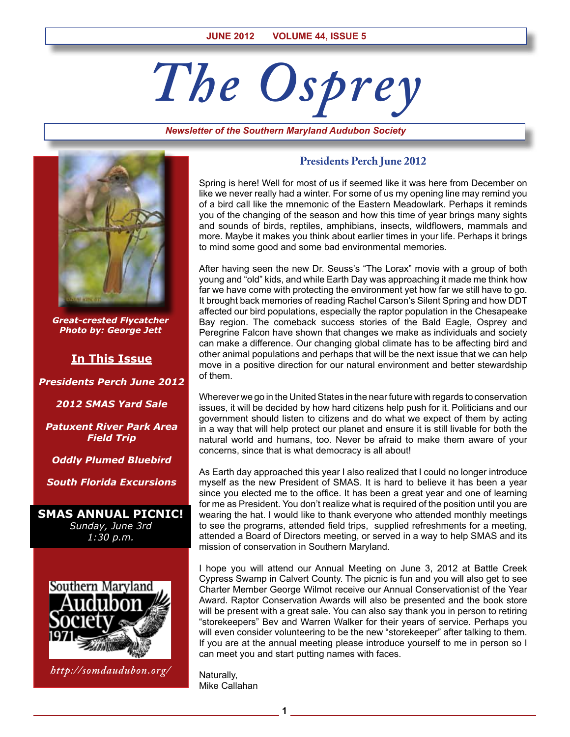# *The Osprey*

*Newsletter of the Southern Maryland Audubon Society*



*Great-crested Flycatcher Photo by: George Jett*

# **In This Issue**

*Presidents Perch June 2012*

*2012 SMAS Yard Sale*

*Patuxent River Park Area Field Trip*

*Oddly Plumed Bluebird*

*South Florida Excursions*

**SMAS Annual Picnic!** *Sunday, June 3rd 1:30 p.m.*



*http://somdaudubon.org/*

## **Presidents Perch June 2012**

Spring is here! Well for most of us if seemed like it was here from December on like we never really had a winter. For some of us my opening line may remind you of a bird call like the mnemonic of the Eastern Meadowlark. Perhaps it reminds you of the changing of the season and how this time of year brings many sights and sounds of birds, reptiles, amphibians, insects, wildflowers, mammals and more. Maybe it makes you think about earlier times in your life. Perhaps it brings to mind some good and some bad environmental memories.

After having seen the new Dr. Seuss's "The Lorax" movie with a group of both young and "old" kids, and while Earth Day was approaching it made me think how far we have come with protecting the environment yet how far we still have to go. It brought back memories of reading Rachel Carson's Silent Spring and how DDT affected our bird populations, especially the raptor population in the Chesapeake Bay region. The comeback success stories of the Bald Eagle, Osprey and Peregrine Falcon have shown that changes we make as individuals and society can make a difference. Our changing global climate has to be affecting bird and other animal populations and perhaps that will be the next issue that we can help move in a positive direction for our natural environment and better stewardship of them.

Wherever we go in the United States in the near future with regards to conservation issues, it will be decided by how hard citizens help push for it. Politicians and our government should listen to citizens and do what we expect of them by acting in a way that will help protect our planet and ensure it is still livable for both the natural world and humans, too. Never be afraid to make them aware of your concerns, since that is what democracy is all about!

As Earth day approached this year I also realized that I could no longer introduce myself as the new President of SMAS. It is hard to believe it has been a year since you elected me to the office. It has been a great year and one of learning for me as President. You don't realize what is required of the position until you are wearing the hat. I would like to thank everyone who attended monthly meetings to see the programs, attended field trips, supplied refreshments for a meeting, attended a Board of Directors meeting, or served in a way to help SMAS and its mission of conservation in Southern Maryland.

I hope you will attend our Annual Meeting on June 3, 2012 at Battle Creek Cypress Swamp in Calvert County. The picnic is fun and you will also get to see Charter Member George Wilmot receive our Annual Conservationist of the Year Award. Raptor Conservation Awards will also be presented and the book store will be present with a great sale. You can also say thank you in person to retiring "storekeepers" Bev and Warren Walker for their years of service. Perhaps you will even consider volunteering to be the new "storekeeper" after talking to them. If you are at the annual meeting please introduce yourself to me in person so I can meet you and start putting names with faces.

Naturally, Mike Callahan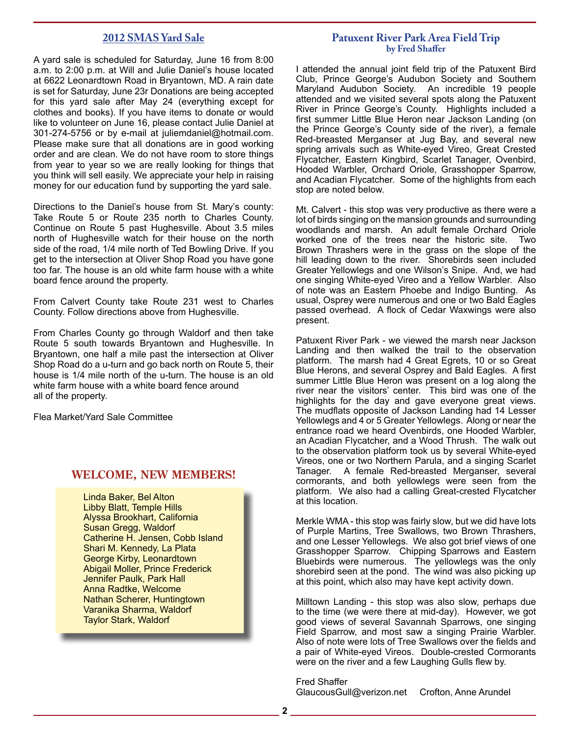#### **2012 SMAS Yard Sale**

A yard sale is scheduled for Saturday, June 16 from 8:00 a.m. to 2:00 p.m. at Will and Julie Daniel's house located at 6622 Leonardtown Road in Bryantown, MD. A rain date is set for Saturday, June 23r Donations are being accepted for this yard sale after May 24 (everything except for clothes and books). If you have items to donate or would like to volunteer on June 16, please contact Julie Daniel at 301-274-5756 or by e-mail at juliemdaniel@hotmail.com. Please make sure that all donations are in good working order and are clean. We do not have room to store things from year to year so we are really looking for things that you think will sell easily. We appreciate your help in raising money for our education fund by supporting the yard sale.

Directions to the Daniel's house from St. Mary's county: Take Route 5 or Route 235 north to Charles County. Continue on Route 5 past Hughesville. About 3.5 miles north of Hughesville watch for their house on the north side of the road, 1/4 mile north of Ted Bowling Drive. If you get to the intersection at Oliver Shop Road you have gone too far. The house is an old white farm house with a white board fence around the property.

From Calvert County take Route 231 west to Charles County. Follow directions above from Hughesville.

From Charles County go through Waldorf and then take Route 5 south towards Bryantown and Hughesville. In Bryantown, one half a mile past the intersection at Oliver Shop Road do a u-turn and go back north on Route 5, their house is 1/4 mile north of the u-turn. The house is an old white farm house with a white board fence around all of the property.

Flea Market/Yard Sale Committee

#### **WELCOME, NEW MEMBERS!**

Linda Baker, Bel Alton Libby Blatt, Temple Hills Alyssa Brookhart, California Susan Gregg, Waldorf Catherine H. Jensen, Cobb Island Shari M. Kennedy, La Plata George Kirby, Leonardtown Abigail Moller, Prince Frederick Jennifer Paulk, Park Hall Anna Radtke, Welcome Nathan Scherer, Huntingtown Varanika Sharma, Waldorf Taylor Stark, Waldorf

#### **Patuxent River Park Area Field Trip by Fred Shaffer**

I attended the annual joint field trip of the Patuxent Bird Club, Prince George's Audubon Society and Southern Maryland Audubon Society. An incredible 19 people attended and we visited several spots along the Patuxent River in Prince George's County. Highlights included a first summer Little Blue Heron near Jackson Landing (on the Prince George's County side of the river), a female Red-breasted Merganser at Jug Bay, and several new spring arrivals such as White-eyed Vireo, Great Crested Flycatcher, Eastern Kingbird, Scarlet Tanager, Ovenbird, Hooded Warbler, Orchard Oriole, Grasshopper Sparrow, and Acadian Flycatcher. Some of the highlights from each stop are noted below.

Mt. Calvert - this stop was very productive as there were a lot of birds singing on the mansion grounds and surrounding woodlands and marsh. An adult female Orchard Oriole worked one of the trees near the historic site. Two Brown Thrashers were in the grass on the slope of the hill leading down to the river. Shorebirds seen included Greater Yellowlegs and one Wilson's Snipe. And, we had one singing White-eyed Vireo and a Yellow Warbler. Also of note was an Eastern Phoebe and Indigo Bunting. As usual, Osprey were numerous and one or two Bald Eagles passed overhead. A flock of Cedar Waxwings were also present.

Patuxent River Park - we viewed the marsh near Jackson Landing and then walked the trail to the observation platform. The marsh had 4 Great Egrets, 10 or so Great Blue Herons, and several Osprey and Bald Eagles. A first summer Little Blue Heron was present on a log along the river near the visitors' center. This bird was one of the highlights for the day and gave everyone great views. The mudflats opposite of Jackson Landing had 14 Lesser Yellowlegs and 4 or 5 Greater Yellowlegs. Along or near the entrance road we heard Ovenbirds, one Hooded Warbler, an Acadian Flycatcher, and a Wood Thrush. The walk out to the observation platform took us by several White-eyed Vireos, one or two Northern Parula, and a singing Scarlet Tanager. A female Red-breasted Merganser, several cormorants, and both yellowlegs were seen from the platform. We also had a calling Great-crested Flycatcher at this location.

Merkle WMA - this stop was fairly slow, but we did have lots of Purple Martins, Tree Swallows, two Brown Thrashers, and one Lesser Yellowlegs. We also got brief views of one Grasshopper Sparrow. Chipping Sparrows and Eastern Bluebirds were numerous. The yellowlegs was the only shorebird seen at the pond. The wind was also picking up at this point, which also may have kept activity down.

Milltown Landing - this stop was also slow, perhaps due to the time (we were there at mid-day). However, we got good views of several Savannah Sparrows, one singing Field Sparrow, and most saw a singing Prairie Warbler. Also of note were lots of Tree Swallows over the fields and a pair of White-eyed Vireos. Double-crested Cormorants were on the river and a few Laughing Gulls flew by.

Fred Shaffer GlaucousGull@verizon.net Crofton, Anne Arundel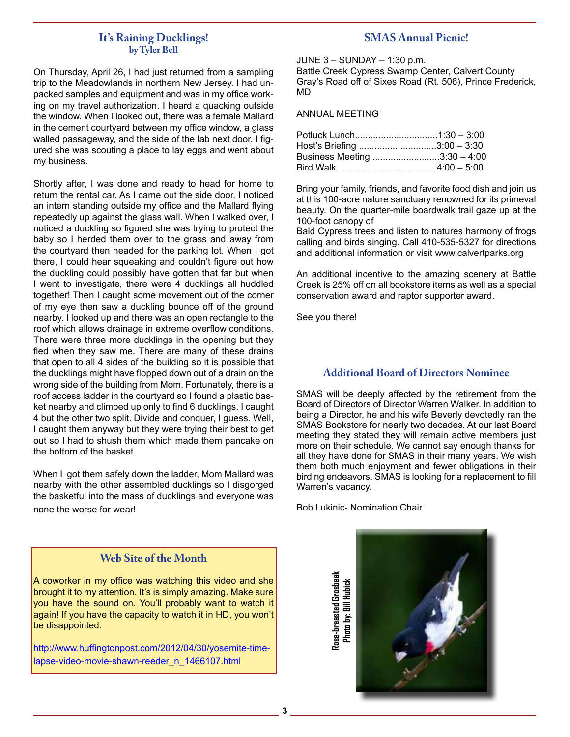#### **It's Raining Ducklings! by Tyler Bell**

On Thursday, April 26, I had just returned from a sampling trip to the Meadowlands in northern New Jersey. I had unpacked samples and equipment and was in my office working on my travel authorization. I heard a quacking outside the window. When I looked out, there was a female Mallard in the cement courtyard between my office window, a glass walled passageway, and the side of the lab next door. I figured she was scouting a place to lay eggs and went about my business.

Shortly after, I was done and ready to head for home to return the rental car. As I came out the side door, I noticed an intern standing outside my office and the Mallard flying repeatedly up against the glass wall. When I walked over, I noticed a duckling so figured she was trying to protect the baby so I herded them over to the grass and away from the courtyard then headed for the parking lot. When I got there, I could hear squeaking and couldn't figure out how the duckling could possibly have gotten that far but when I went to investigate, there were 4 ducklings all huddled together! Then I caught some movement out of the corner of my eye then saw a duckling bounce off of the ground nearby. I looked up and there was an open rectangle to the roof which allows drainage in extreme overflow conditions. There were three more ducklings in the opening but they fled when they saw me. There are many of these drains that open to all 4 sides of the building so it is possible that the ducklings might have flopped down out of a drain on the wrong side of the building from Mom. Fortunately, there is a roof access ladder in the courtyard so I found a plastic basket nearby and climbed up only to find 6 ducklings. I caught 4 but the other two split. Divide and conquer, I guess. Well, I caught them anyway but they were trying their best to get out so I had to shush them which made them pancake on the bottom of the basket.

When I got them safely down the ladder, Mom Mallard was nearby with the other assembled ducklings so I disgorged the basketful into the mass of ducklings and everyone was none the worse for wear!

## **Web Site of the Month**

A coworker in my office was watching this video and she brought it to my attention. It's is simply amazing. Make sure you have the sound on. You'll probably want to watch it again! If you have the capacity to watch it in HD, you won't be disappointed.

http://www.huffingtonpost.com/2012/04/30/yosemite-timelapse-video-movie-shawn-reeder\_n\_1466107.html

### **SMAS Annual Picnic!**

JUNE 3 – SUNDAY – 1:30 p.m.

Battle Creek Cypress Swamp Center, Calvert County Gray's Road off of Sixes Road (Rt. 506), Prince Frederick, MD

ANNUAL MEETING

| Host's Briefing 3:00 - 3:30  |  |
|------------------------------|--|
| Business Meeting 3:30 - 4:00 |  |
|                              |  |

Bring your family, friends, and favorite food dish and join us at this 100-acre nature sanctuary renowned for its primeval beauty. On the quarter-mile boardwalk trail gaze up at the 100-foot canopy of

Bald Cypress trees and listen to natures harmony of frogs calling and birds singing. Call 410-535-5327 for directions and additional information or visit www.calvertparks.org

An additional incentive to the amazing scenery at Battle Creek is 25% off on all bookstore items as well as a special conservation award and raptor supporter award.

See you there!

## **Additional Board of Directors Nominee**

SMAS will be deeply affected by the retirement from the Board of Directors of Director Warren Walker. In addition to being a Director, he and his wife Beverly devotedly ran the SMAS Bookstore for nearly two decades. At our last Board meeting they stated they will remain active members just more on their schedule. We cannot say enough thanks for all they have done for SMAS in their many years. We wish them both much enjoyment and fewer obligations in their birding endeavors. SMAS is looking for a replacement to fill Warren's vacancy.

Bob Lukinic- Nomination Chair

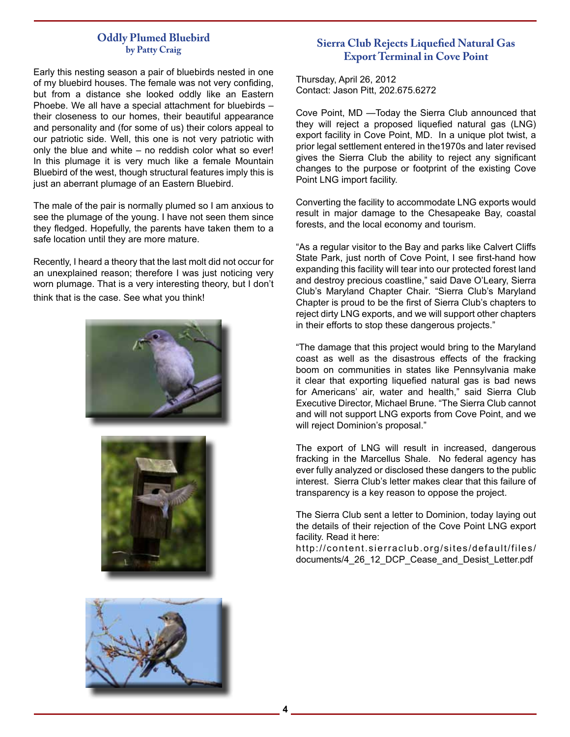#### **Oddly Plumed Bluebird by Patty Craig**

Early this nesting season a pair of bluebirds nested in one of my bluebird houses. The female was not very confiding, but from a distance she looked oddly like an Eastern Phoebe. We all have a special attachment for bluebirds – their closeness to our homes, their beautiful appearance and personality and (for some of us) their colors appeal to our patriotic side. Well, this one is not very patriotic with only the blue and white – no reddish color what so ever! In this plumage it is very much like a female Mountain Bluebird of the west, though structural features imply this is just an aberrant plumage of an Eastern Bluebird.

The male of the pair is normally plumed so I am anxious to see the plumage of the young. I have not seen them since they fledged. Hopefully, the parents have taken them to a safe location until they are more mature.

Recently, I heard a theory that the last molt did not occur for an unexplained reason; therefore I was just noticing very worn plumage. That is a very interesting theory, but I don't think that is the case. See what you think!







# **Sierra Club Rejects Liquefied Natural Gas Export Terminal in Cove Point**

Thursday, April 26, 2012 Contact: Jason Pitt, 202.675.6272

Cove Point, MD —Today the Sierra Club announced that they will reject a proposed liquefied natural gas (LNG) export facility in Cove Point, MD. In a unique plot twist, a prior legal settlement entered in the1970s and later revised gives the Sierra Club the ability to reject any significant changes to the purpose or footprint of the existing Cove Point LNG import facility.

Converting the facility to accommodate LNG exports would result in major damage to the Chesapeake Bay, coastal forests, and the local economy and tourism.

"As a regular visitor to the Bay and parks like Calvert Cliffs State Park, just north of Cove Point, I see first-hand how expanding this facility will tear into our protected forest land and destroy precious coastline," said Dave O'Leary, Sierra Club's Maryland Chapter Chair. "Sierra Club's Maryland Chapter is proud to be the first of Sierra Club's chapters to reject dirty LNG exports, and we will support other chapters in their efforts to stop these dangerous projects."

"The damage that this project would bring to the Maryland coast as well as the disastrous effects of the fracking boom on communities in states like Pennsylvania make it clear that exporting liquefied natural gas is bad news for Americans' air, water and health," said Sierra Club Executive Director, Michael Brune. "The Sierra Club cannot and will not support LNG exports from Cove Point, and we will reject Dominion's proposal."

The export of LNG will result in increased, dangerous fracking in the Marcellus Shale. No federal agency has ever fully analyzed or disclosed these dangers to the public interest. Sierra Club's letter makes clear that this failure of transparency is a key reason to oppose the project.

The Sierra Club sent a letter to Dominion, today laying out the details of their rejection of the Cove Point LNG export facility. Read it here:

http://content.sierraclub.org/sites/default/files/ documents/4\_26\_12\_DCP\_Cease\_and\_Desist\_Letter.pdf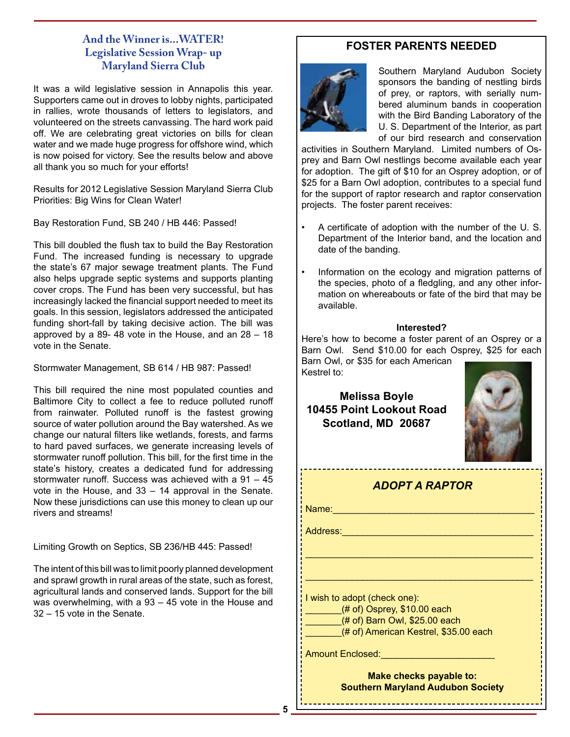# **And the Winner is...WATER! Legislative Session Wrap- up Maryland Sierra Club**

It was a wild legislative session in Annapolis this year. Supporters came out in droves to lobby nights, participated in rallies, wrote thousands of letters to legislators, and volunteered on the streets canvassing. The hard work paid off. We are celebrating great victories on bills for clean water and we made huge progress for offshore wind, which is now poised for victory. See the results below and above all thank you so much for your efforts!

Results for 2012 Legislative Session Maryland Sierra Club Priorities: Big Wins for Clean Water!

Bay Restoration Fund, SB 240 / HB 446: Passed!

This bill doubled the flush tax to build the Bay Restoration Fund. The increased funding is necessary to upgrade the state's 67 major sewage treatment plants. The Fund also helps upgrade septic systems and supports planting cover crops. The Fund has been very successful, but has increasingly lacked the financial support needed to meet its goals. In this session, legislators addressed the anticipated funding short-fall by taking decisive action. The bill was approved by a 89- 48 vote in the House, and an 28 – 18 vote in the Senate.

Stormwater Management, SB 614 / HB 987: Passed!

This bill required the nine most populated counties and Baltimore City to collect a fee to reduce polluted runoff from rainwater. Polluted runoff is the fastest growing source of water pollution around the Bay watershed. As we change our natural filters like wetlands, forests, and farms to hard paved surfaces, we generate increasing levels of stormwater runoff pollution. This bill, for the first time in the state's history, creates a dedicated fund for addressing stormwater runoff. Success was achieved with a 91 – 45 vote in the House, and 33 – 14 approval in the Senate. Now these jurisdictions can use this money to clean up our rivers and streams!

Limiting Growth on Septics, SB 236/HB 445: Passed!

The intent of this bill was to limit poorly planned development and sprawl growth in rural areas of the state, such as forest, agricultural lands and conserved lands. Support for the bill was overwhelming, with a 93 – 45 vote in the House and 32 – 15 vote in the Senate.

# **FOSTER PARENTS NEEDED**



Southern Maryland Audubon Society sponsors the banding of nestling birds of prey, or raptors, with serially numbered aluminum bands in cooperation with the Bird Banding Laboratory of the U. S. Department of the Interior, as part of our bird research and conservation

activities in Southern Maryland. Limited numbers of Osprey and Barn Owl nestlings become available each year for adoption. The gift of \$10 for an Osprey adoption, or of \$25 for a Barn Owl adoption, contributes to a special fund for the support of raptor research and raptor conservation projects. The foster parent receives:

- A certificate of adoption with the number of the U. S. Department of the Interior band, and the location and date of the banding.
- Information on the ecology and migration patterns of the species, photo of a fledgling, and any other information on whereabouts or fate of the bird that may be available.

#### **Interested?**

Here's how to become a foster parent of an Osprey or a Barn Owl. Send \$10.00 for each Osprey, \$25 for each Barn Owl, or \$35 for each American

Kestrel to:

**Melissa Boyle 10455 Point Lookout Road Scotland, MD 20687**



\_\_\_\_\_\_\_\_\_\_\_\_\_\_\_\_\_\_\_\_\_\_\_\_\_\_\_\_\_\_\_\_\_\_\_\_\_\_\_\_\_\_\_\_

\_\_\_\_\_\_\_\_\_\_\_\_\_\_\_\_\_\_\_\_\_\_\_\_\_\_\_\_\_\_\_\_\_\_\_\_\_\_\_\_\_\_\_\_

Name:\_\_\_\_\_\_\_\_\_\_\_\_\_\_\_\_\_\_\_\_\_\_\_\_\_\_\_\_\_\_\_\_\_\_\_\_\_\_\_

Address:\_\_\_\_\_\_\_\_\_\_\_\_\_\_\_\_\_\_\_\_\_\_\_\_\_\_\_\_\_\_\_\_\_\_\_\_\_

I wish to adopt (check one):  $($ # of) Osprey, \$10.00 each \_\_\_\_\_\_\_(# of) Barn Owl, \$25.00 each

(# of) American Kestrel, \$35.00 each

Amount Enclosed:\_\_\_\_\_\_\_\_\_\_\_\_\_\_\_\_\_\_\_\_\_\_

**Make checks payable to: Southern Maryland Audubon Society**

\_\_\_\_\_\_\_\_\_\_\_\_\_\_\_\_\_\_\_\_\_\_\_\_\_\_\_\_\_\_\_\_\_\_\_\_\_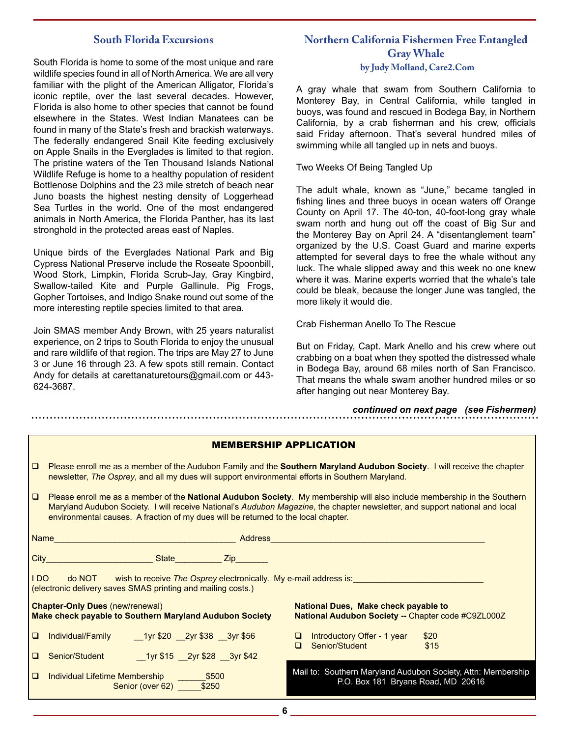#### **South Florida Excursions**

South Florida is home to some of the most unique and rare wildlife species found in all of North America. We are all very familiar with the plight of the American Alligator, Florida's iconic reptile, over the last several decades. However, Florida is also home to other species that cannot be found elsewhere in the States. West Indian Manatees can be found in many of the State's fresh and brackish waterways. The federally endangered Snail Kite feeding exclusively on Apple Snails in the Everglades is limited to that region. The pristine waters of the Ten Thousand Islands National Wildlife Refuge is home to a healthy population of resident Bottlenose Dolphins and the 23 mile stretch of beach near Juno boasts the highest nesting density of Loggerhead Sea Turtles in the world. One of the most endangered animals in North America, the Florida Panther, has its last stronghold in the protected areas east of Naples.

Unique birds of the Everglades National Park and Big Cypress National Preserve include the Roseate Spoonbill, Wood Stork, Limpkin, Florida Scrub-Jay, Gray Kingbird, Swallow-tailed Kite and Purple Gallinule. Pig Frogs, Gopher Tortoises, and Indigo Snake round out some of the more interesting reptile species limited to that area.

Join SMAS member Andy Brown, with 25 years naturalist experience, on 2 trips to South Florida to enjoy the unusual and rare wildlife of that region. The trips are May 27 to June 3 or June 16 through 23. A few spots still remain. Contact Andy for details at carettanaturetours@gmail.com or 443- 624-3687.

## **Northern California Fishermen Free Entangled Gray Whale by Judy Molland, Care2.Com**

A gray whale that swam from Southern California to Monterey Bay, in Central California, while tangled in buoys, was found and rescued in Bodega Bay, in Northern California, by a crab fisherman and his crew, officials said Friday afternoon. That's several hundred miles of swimming while all tangled up in nets and buoys.

Two Weeks Of Being Tangled Up

The adult whale, known as "June," became tangled in fishing lines and three buoys in ocean waters off Orange County on April 17. The 40-ton, 40-foot-long gray whale swam north and hung out off the coast of Big Sur and the Monterey Bay on April 24. A "disentanglement team" organized by the U.S. Coast Guard and marine experts attempted for several days to free the whale without any luck. The whale slipped away and this week no one knew where it was. Marine experts worried that the whale's tale could be bleak, because the longer June was tangled, the more likely it would die.

Crab Fisherman Anello To The Rescue

But on Friday, Capt. Mark Anello and his crew where out crabbing on a boat when they spotted the distressed whale in Bodega Bay, around 68 miles north of San Francisco. That means the whale swam another hundred miles or so after hanging out near Monterey Bay.

*continued on next page (see Fishermen)*

| <b>MEMBERSHIP APPLICATION</b>                                                                                                                                                                                        |                                                                                                                                                                                                                                                                                                                                                |  |
|----------------------------------------------------------------------------------------------------------------------------------------------------------------------------------------------------------------------|------------------------------------------------------------------------------------------------------------------------------------------------------------------------------------------------------------------------------------------------------------------------------------------------------------------------------------------------|--|
| $\Box$                                                                                                                                                                                                               | Please enroll me as a member of the Audubon Family and the Southern Maryland Audubon Society. I will receive the chapter<br>newsletter, The Osprey, and all my dues will support environmental efforts in Southern Maryland.                                                                                                                   |  |
| $\Box$                                                                                                                                                                                                               | Please enroll me as a member of the National Audubon Society. My membership will also include membership in the Southern<br>Maryland Audubon Society. I will receive National's Audubon Magazine, the chapter newsletter, and support national and local<br>environmental causes. A fraction of my dues will be returned to the local chapter. |  |
|                                                                                                                                                                                                                      |                                                                                                                                                                                                                                                                                                                                                |  |
|                                                                                                                                                                                                                      | City City State State New York State State State State State State State State State State State State State S                                                                                                                                                                                                                                 |  |
| IDO do NOT wish to receive The Osprey electronically. My e-mail address is:<br>(electronic delivery saves SMAS printing and mailing costs.)                                                                          |                                                                                                                                                                                                                                                                                                                                                |  |
| <b>Chapter-Only Dues (new/renewal)</b><br><b>National Dues, Make check payable to</b><br><b>Make check payable to Southern Maryland Audubon Society</b><br><b>National Audubon Society -- Chapter code #C9ZL000Z</b> |                                                                                                                                                                                                                                                                                                                                                |  |
| $\Box$                                                                                                                                                                                                               | 1yr \$20 2yr \$38 3yr \$56<br>Introductory Offer - 1 year<br>Individual/Family<br>\$20<br>\$15<br>Senior/Student<br>$\Box$                                                                                                                                                                                                                     |  |
| $\Box$                                                                                                                                                                                                               | Senior/Student 1yr \$15 2yr \$28 3yr \$42                                                                                                                                                                                                                                                                                                      |  |
| $\Box$                                                                                                                                                                                                               | Mail to: Southern Maryland Audubon Society, Attn: Membership<br>P.O. Box 181 Bryans Road, MD 20616<br>Senior (over 62) ____ \$250                                                                                                                                                                                                              |  |

**6**